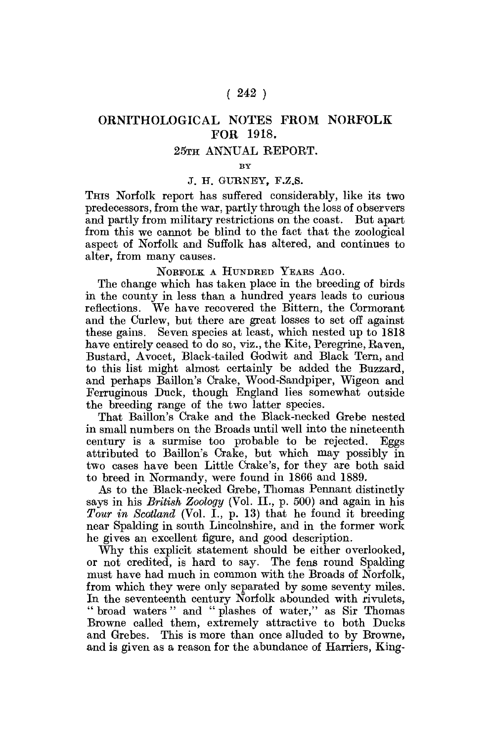# $(242)$

# ORNITHOLOGICAL NOTES FROM NORFOLK FOR 1918.

#### 25TH ANNUAL REPORT.

**BY** 

#### J. H. GURNEY, F.Z.S.

THIS Norfolk report has suffered considerably, like its two predecessors, from the war, partly through the loss of observers and partly from military restrictions on the coast. But apart from this we cannot be blind to the fact that the zoological aspect of Norfolk and Suffolk has altered, and continues to alter, from many causes,

NORFOLK A HUNDRED YEARS AGO.

The change which has taken place in the breeding of birds in the county in less than a hundred years leads to curious reflections. We have recovered the Bittern, the Cormorant and the Curlew, but there are great losses to set off against these gains. Seven species at least, which nested up to 1818 have entirely ceased to do so, viz., the Kite, Peregrine, Raven, Bustard, Avocet, Black-tailed Godwit and Black Tern, and to this list might almost certainly be added the Buzzard, and perhaps Baillon's Crake, Wood-Sandpiper, Wigeon and Ferruginous Duck, though England lies somewhat outside the breeding range of the two latter species.

That Baillon's Crake and the Black-necked Grebe nested in small numbers on the Broads until well into the nineteenth century is a surmise too probable to be rejected. Eggs attributed to Baillon's Crake, but which may possibly in two cases have been Little Crake's, for they are both said to breed in Normandy, were found in 1866 and 1889.

As to the Black-necked Grebe, Thomas Pennant distinctly says in his *British Zoology* (Vol. II,, p. 500) and again in his *Tour in Scotland* (Vol. I., p. 13) that he found it breeding near Spalding in south Lincolnshire, and in the former work he gives an excellent figure, and good description.

Why this explicit statement should be either overlooked, or not credited, is hard to say. The fens round Spalding must have had much in common with the Broads of Norfolk, from which they were only separated by some seventy miles. In the seventeenth century Norfolk abounded with rivulets, " broad waters " and " plashes of water," as Sir Thomas Browne called them, extremely attractive to both Ducks and Grebes. This is more than once alluded to by Browne, and is given as a reason for the abundance of Harriers, King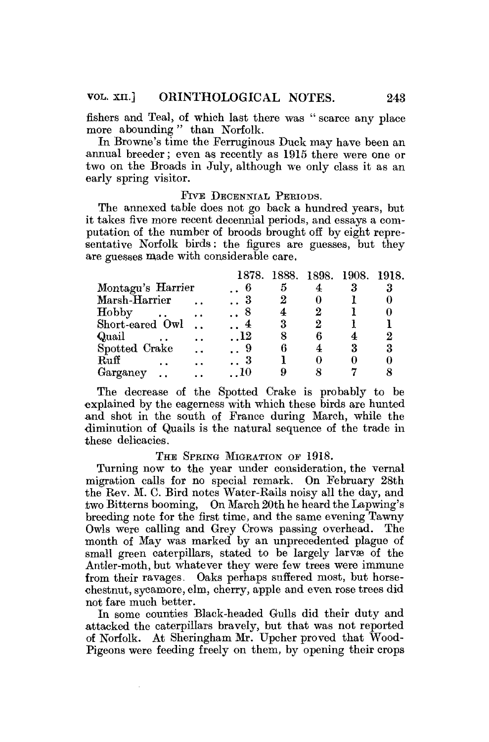fishers and Teal, of which last there was " scarce any place more abounding" than Norfolk.

In Browne's time the Ferruginous Duck may have been an annual breeder; even as recently as 1915 there were one or two on the Broads in July, although we only class it as an early spring visitor.

#### FIVE DECENNIAL PERIODS.

The annexed table does not go back a hundred years, but it takes five more recent decennial periods, and essays a computation of the number of broods brought off by eight representative Norfolk birds: the figures are guesses, but they are guesses made with considerable care.

|                               |                      |                       |   |   | 1878. 1888. 1898. 1908. 1918. |   |
|-------------------------------|----------------------|-----------------------|---|---|-------------------------------|---|
| Montagu's Harrier             |                      | - 6 -                 | 5 |   |                               |   |
| Marsh-Harrier                 |                      | . . 3                 |   |   |                               |   |
| Hobby<br>$\ddot{\phantom{0}}$ |                      | . . 8                 |   |   |                               |   |
| Short-eared Owl               |                      | $\ldots$ <sup>4</sup> |   |   |                               |   |
| Quail                         |                      | $\ldots$ 12           |   | 6 |                               |   |
| Spotted Crake                 | $\ddot{\phantom{a}}$ | 9                     |   |   | 3                             | 3 |
| Ruff                          |                      | . . 3                 |   |   |                               |   |
| Garganey                      |                      | - 10                  |   |   |                               |   |

The decrease of the Spotted Crake is probably to be explained by the eagerness with which these birds are hunted and shot in the south of France during March, while the diminution of Quails is the natural sequence of the trade in these delicacies.

#### THE SPRING MIGRATION OF 1918.

Turning now to the year under consideration, the vernal migration calls for no special remark. On February 28th the Rev. M. C. Bird notes Water-Rails noisy all the day, and two Bitterns booming, On March 20th he heard the Lapwing's breeding note for the first time, and the same evening Tawny Owls were calling and Grey Crows passing overhead. The month of May was marked by an unprecedented plague of small green caterpillars, stated to be largely larvae of the Antler-moth, but whatever they were few trees were immune from their ravages. Oaks perhaps suffered most, but horsechestnut, sycamore, elm, cherry, apple and even rose trees did not fare much better.

In some counties Black-headed Gulls did their duty and attacked the caterpillars bravely, but that was not reported of Norfolk. At Sheringham Mr. Upcher proved that Wood-Pigeons were feeding freely on them, by opening their crops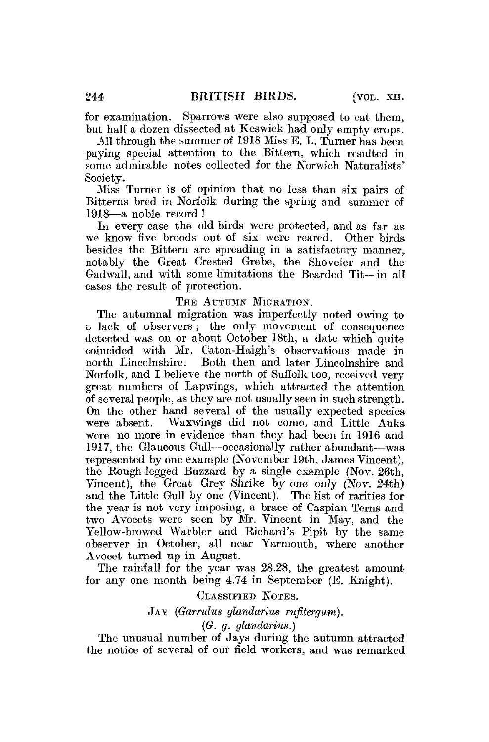for examination. Sparrows were also supposed to eat them, but half a dozen dissected at Keswick had only empty crops.

All through the summer of 1918 Miss E. L. Turner has been paying special attention to the Bittern, which resulted in some admirable notes collected for the Norwich Naturalists' Society.

Miss Turner is of opinion that no less than six pairs of Bitterns bred in Norfolk during the spring and summer of 1918—a noble record !

In every case the old birds were protected, and as far as we know five broods out of six were reared. Other birds besides the Bittern are spreading in a satisfactory manner, notably the Great Crested Grebe, the Shoveler and the Gadwall, and with some limitations the Bearded Tit—in all eases the result of protection.

#### THE AUTUMN MIGRATION.

The autumnal migration was imperfectly noted owing to a lack of observers ; the only movement of consequence detected was on or about October 18th, a date which quite coincided with Mr. Caton-Haigh's observations made in north Lincolnshire. Both then and later Lincolnshire and Norfolk, and I believe the north of Suffolk too, received very great numbers of Lapwings, which attracted the attention of several people, as they are not usually seen in such strength. On the other hand several of the usually expected species were absent. Waxwings did not come, and Little Auks were no more in evidence than they had been in 1916 and 1917, the Glaucous Gull—occasionally rather abundant—was represented by one example (November 19th, James Vincent), the Rough-legged Buzzard by a single example (Nov. 26th, Vincent), the Great Grey Shrike by one only (Nov. 24th) and the Little Gull by one (Vincent). The list of rarities for the year is not very imposing, a brace of Caspian Terns and two Avocets were seen by Mr. Vincent in May, and the Yellow-browed Warbler and Richard's Pipit by the same observer in October, all near Yarmouth, where another Avoeet turned up in August.

The rainfall for the year was 28.28, the greatest amount for any one month being 4.74 in September (E. Knight).

## CLASSIFIED NOTES.

# JAY *(Garrulus glandarius rufitergum).*

*(G. g. glandarius.)* 

The unusual number of Jays during the autumn attracted the notice of several of our field workers, and was remarked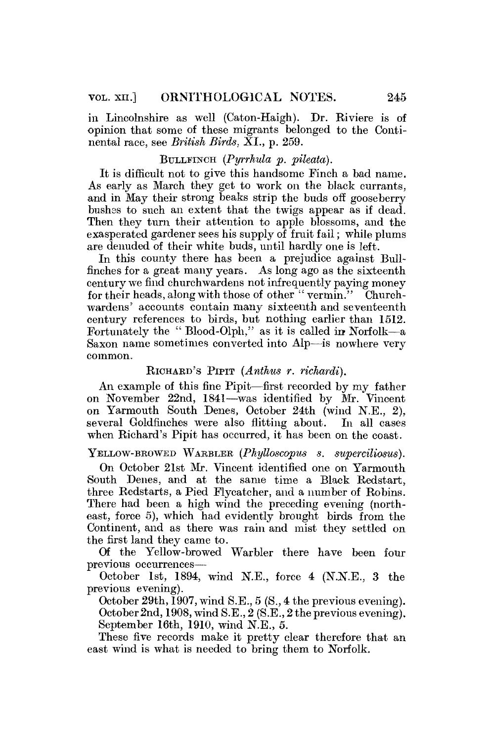in Lincolnshire as well (Caton-Haigh). Dr. Riviere is of opinion that some of these migrants belonged to the Continental race, see *British Birds.* XL, p. 259.

### BULLFINCH *(Pyrrhvia p. pileaia).*

It is difficult not to give this handsome Finch a bad name. As early as March they get to work on the black currants, and in May their strong beaks strip the buds off gooseberry bushes to such an extent that the twigs appear as if dead. Then they turn their attention to apple blossoms, and the exasperated gardener sees his supply of fruit fail; while plums are denuded of their white buds, until hardly one is left.

In this county there has been a prejudice against Bullfinches for a great many years. As long ago as the sixteenth century we find churchwardens not infrequently paying money for their heads, along with those of other "vermin." Churchwardens' accounts contain many sixteenth and seventeenth century references to birds, but nothing earlier than 1512. Fortunately the " Blood-Olph," as it is called in Norfolk—a Saxon name sometimes converted into Alp—is nowhere very common.

#### RICHARD'S PIPIT *(Anthus r. richardi).*

An example of this fine Pipit—first recorded by my father on November 22nd, 1841—was identified by Mr. Vincent on Yarmouth South Denes, October 24th (wind N.E., 2), several Goldfinches were also flitting about. In all cases when Richard's Pipit has occurred, it has been on the coast.

YELLOW-BROWED WARBLER (Phylloscopus s. superciliosus).

On October 21st Mr. Vincent identified one on Yarmouth South Denes, and at the same time a Black Redstart, three Redstarts, a Pied Flycatcher, and a number of Robins. There had been a high wind the preceding evening (northeast, force 5), which had evidently brought birds from the Continent, and as there was rain and mist they settled on the first land they came to.

Of the Yellow-browed Warbler there have been four previous occurrences—

October 1st, 1894, wind N.E., force 4 (N.N.E., 3 the previous evening).

October 29th, 1907, wind S.E., 5 (S., 4 the previous evening). October 2nd, 1908, wind S.E., 2 (S.E., 2 the previous evening). September 16th, 1910, wind N.E., 5.

These five records make it pretty clear therefore that an east wind is what is needed to bring them to Norfolk.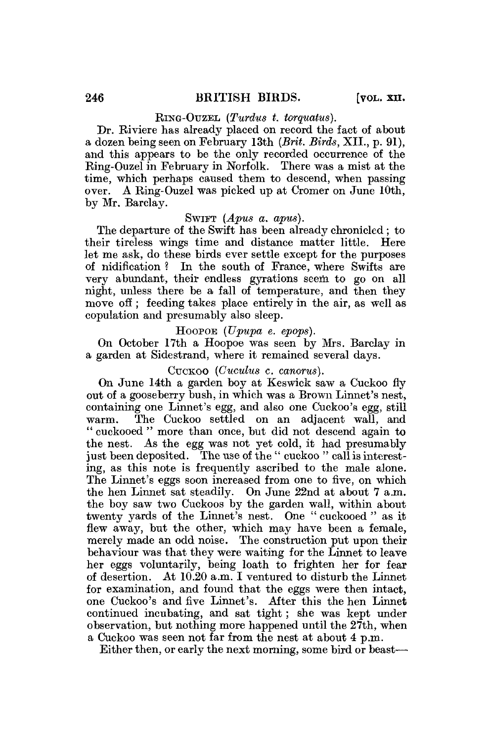RING-OUZEL *(Turdus t. torquatus).* 

Dr. Riviere has already placed on record the fact of about a dozen being seen on February 13th *(Brit. Birds,* XII., p. 91), and this appears to be the only recorded occurrence of the Ring-Ouzel in February in Norfolk. There was a mist at the time, which perhaps caused them to descend, when passing over. A Ring-Ouzel was picked up at Cromer on June 10th, by Mr. Barclay.

# SWIFT *(Apus a. apus).*

The departure of the Swift has been already chronicled; to their tireless wings time and distance matter little. Here let me ask, do these birds ever settle except for the purposes of nidification ? In the south of France, where Swifts are very abundant, their endless gyrations seem to go on all night, unless there be a fall of temperature, and then they move off; feeding takes place entirely in the air, as well as copulation and presumably also sleep.

# , HOOPOE *(Upupa* e. *epops).*

On October 17th a Hoopoe was seen by Mrs. Barclay in a garden at Sidestrand, where it remained several days.

#### CUCKOO *(Cuculus c. canorus).*

On June 14th a garden boy at Keswick saw a Cuckoo fly out of a gooseberry bush, in which was a Brown Linnet's nest, containing one Linnet's egg, and also one Cuckoo's egg, still warm. The Cuckoo settled on an adjacent wall, and " cuckooed " more than once, but did not descend again to the nest. As the egg was not yet cold, it had presumably just been deposited. The use of the " cuckoo " call is interesting, as this note is frequently ascribed to the male alone. The Linnet's eggs soon increased from one to five, on which the hen Linnet sat steadily. On June 22nd at about 7 a.m. the boy saw two Cuckoos by the garden wall, within about twenty yards of the Linnet's nest. One " cuckooed " as it flew away, but the other, which may have been a female, merely made an odd noise. The construction put upon their behaviour was that they were waiting for the Linnet to leave her eggs voluntarily, being loath to frighten her for fear of desertion. At 10.20 a.m. I ventured to disturb the Linnet for examination, and found that the eggs were then intact, one Cuckoo's and five Linnet's. After this the hen Linnet continued incubating, and sat tight; she was kept under observation, but nothing more happened until the 27th, when a Cuckoo was seen not far from the nest at about 4 p.m.

Either then, or early the next morning, some bird or beast—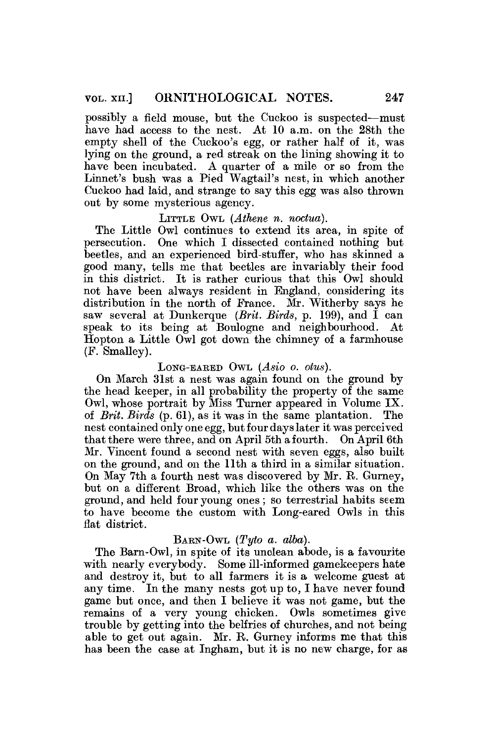possibly a field mouse, but the Cuckoo is suspected—must have had access to the nest. At 10 a.m. on the 28th the empty shell of the Cuckoo's egg, or rather half of it, was lying on the ground, a red streak on the lining showing it to have been incubated. A quarter of a mile or so from the Linnet's bush was a Pied Wagtail's nest, in which another Cuckoo had laid, and strange to say this egg was also thrown out by some mysterious agency.

#### LITTLE OWL *(Athene n. noctua).*

The Little Owl continues to extend its area, in spite of persecution. One which I dissected contained nothing but beetles, and an experienced bird-stuffer, who has skinned a good many, tells me that beetles are invariably their food in this district. It is rather curious that this Owl should not have been always resident in England, considering its distribution in the north of France. Mr. Witherby says he saw several at Dunkerque *(Brit. Birds,* p. 199), and I can speak to its being at Boulogne and neighbourhood. At Hopton a Little Owl got down the chimney of a farmhouse (P. Smalley).

## LONG-EARED OWL *(Asio 0. Otus).*

On March 31st a nest was again found on the ground by the head keeper, in all probability the property of the same Owl, whose portrait by Miss Turner appeared in Volume IX. of *Brit. Birds* (p. 61), as it was in the same plantation. The nest contained only one egg, but four days later it was perceived that there were three, and on April 5th a fourth. On April 6th Mr. Vincent found a second nest with seven eggs, also built on the ground, and on the 11th a third in a similar situation. On May 7th a fourth nest was discovered by Mr. R. Gurney, but on a different Broad, which like the others was on the ground, and held four young ones ; so terrestrial habits seem to have become the custom with Long-eared Owls in this flat district.

#### BARN-OWL *(Tyto a. alba).*

The Barn-Owl, in spite of its unclean abode, is a favourite with nearly everybody. Some ill-informed gamekeepers hate and destroy it, but to all farmers it is a welcome guest at any time. In the many nests got up to, I have never found game but once, and then I believe it was not game, but the remains of a very young chicken. Owls sometimes give trouble by getting into the belfries of churches, and not being able to get out again. Mr. B. Gurney informs me that this has been the case at Ingham, but it is no new charge, for as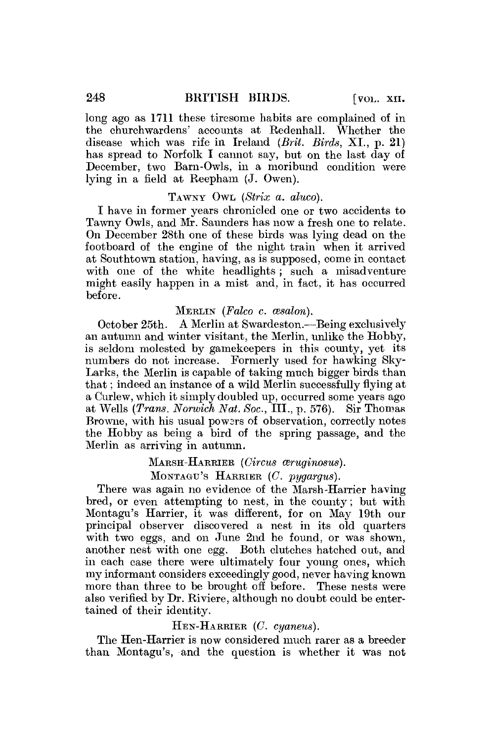long ago as 1711 these tiresome habits are complained of in the churchwardens' accounts at Redenhall. disease which was rife in Ireland *(Brit. Birds,* XI., p. 21) has spread to Norfolk I cannot say, but on the last day of December, two Barn-Owls, in a moribund condition were lying in a field at Reepham (J. Owen).

#### TAWNY OWL *(Strix a. aluco).*

I have in former years chronicled one or two accidents to Tawny Owls, and Mr. Saunders has now a fresh one to relate. On December 28th one of these birds was lying dead on the footboard of the engine of the night train when it arrived at Southtown station, having, as is supposed, come in contact with one of the white headlights; such a misadventure might easily happen in a mist and, in fact, it has occurred before.

#### MERLIN *(Falco c. cesalon).*

October 25th. A Merlin at Swardeston.—Being exclusively an autumn and winter visitant, the Merlin, unlike the Hobby, is seldom molested by gamekeepers in this county, yet its numbers do not increase. Formerly used for hawking Sky-Larks, the Merlin is capable of taking much bigger birds than that; indeed an instance of a wild Merlin successfully flying at a Curlew, which it simply doubled up, occurred some years ago at Wells *(Trans. Norwich Nat. Soc,* III., p. 576). Sir Thomas Browne, with his usual powers of observation, correctly notes the Hobby as being a bird of the spring passage, and the Merlin as arriving in autumn.

#### MARSH-HARRIER *(Circus ceruginosus)*.

MONTAGU'S HARRIER *(C. pygargus).* 

There was again no evidence of the Marsh-Harrier having bred, or even attempting to nest, in the county; but with Montagu's Harrier, it was different, for on May 19th our principal observer discovered a nest in its old quarters with two eggs, and on June 2nd he found, or was shown, another nest with one egg. Both clutches hatched out, and in each case there were ultimately four young ones, which my informant considers exceedingly good, never having known more than three to be brought off before. These nests were also verified by Dr. Riviere, although no doubt could be entertained of their identity.

#### HEN-HARRIER (C *cyaneus).*

The Hen-Harrier is now considered much rarer as a breeder than Montagu's, and the question is whether it was not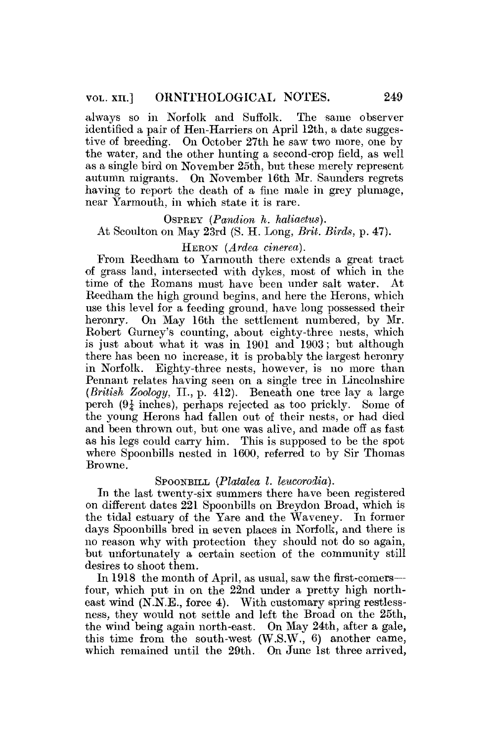always so in Norfolk and Suffolk. The same observer identified a pair of Hen-Harriers on April 12th, a date suggestive of breeding. On October 27th he saw two more, one by the water, and the other hunting a second-crop field, as well as a single bird on November 25th, but these merely represent autumn migrants. On November 16th Mr. Saunders regrets having to report the death of a fine male in grey plumage, near Yarmouth, in which state it is rare.

# OSPREY *(Pandion h. haliaetus).*  At Scoulton on May 23rd (S. H. Long, *Brit. Birds,* p. 47).

### HERON *(Ardea cinerea).*

From Reedham to Yarmouth there extends a great tract of grass land, intersected with dykes, most of which in the time of the Romans must have been under salt water. At Reedham the high ground begins, and here the Herons, which use this level for a feeding ground, have long possessed their heronry. On May 16th the settlement numbered, by Mr. Robert Gurney's counting, about eighty-three nests, which is just about what it was in 1901 and 1903; but although there has been no increase, it is probably the largest heronry in Norfolk. Eighty-three nests, however, is no more than Pennant relates having seen on a single tree in Lincolnshire *(British Zoology,* II., p. 412). Beneath one tree lay a large perch  $(9\frac{1}{4}$  inches), perhaps rejected as too prickly. Some of the young Herons had fallen out of their nests, or had died and been thrown out, but one was alive, and made off as fast as his legs could carry him. This is supposed to be the spot where Spoonbills nested in 1600, referred to by Sir Thomas Browne.

#### SPOONBILL (Platalea *I. leucorodia*).

In the last twenty-six summers there have been registered on different dates 221 Spoonbills on Breydon Broad, which is the tidal estuary of the Yare and the Waveney. In former days Spoonbills bred in seven places in Norfolk, and there is no reason why with protection they should not do so again, but unfortunately a certain section of the community still desires to shoot them.

In 1918 the month of April, as usual, saw the first-comers four, which put in on the 22nd under a pretty high northeast wind (N.N.E., force 4). With customary spring restlessness, they would not settle and left the Broad on the 25th, the wind being again north-east. On May 24th, after a gale, this time from the south-west (W.S.W., 6) another came, which remained until the 29th. On June 1st three arrived,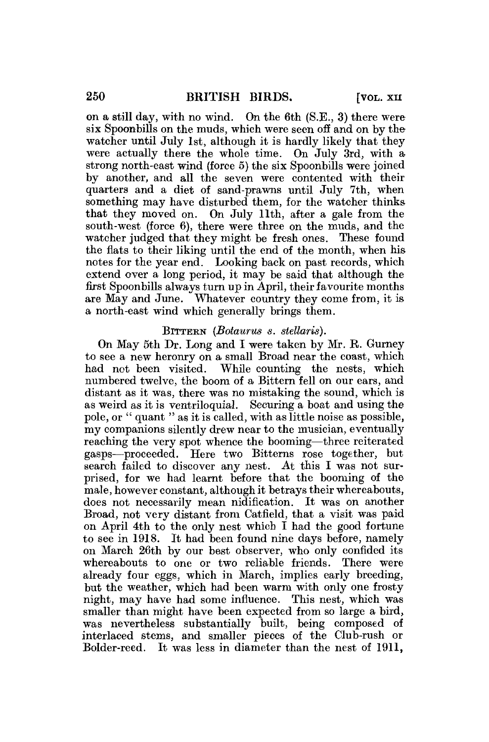on a still day, with no wind. On the 6th (S.E., 3) there were six Spoonbills on the muds, which were seen off and on by the watcher until July 1st, although it is hardly likely that they were actually there the whole time. On July 3rd, with a strong north-east wind (force 5) the six Spoonbills were joined by another, and all the seven were contented with their quarters and a diet of sand-prawns until July 7th, when something may have disturbed them, for the watcher thinks that they moved on. On July 11th, after a gale from the south-west (force 6), there were three on the muds, and the watcher judged that they might be fresh ones. These found the flats to their liking until the end of the month, when his notes for the year end. Looking back on past records, which extend over a long period, it may be said that although the first Spoonbills always turn up in April, their favourite months are May and June. Whatever country they come from, it is a north-east wind which generally brings them.

#### BITTERN *(Botaurus s. stellaris).*

On May 5th Dr. Long and I were taken by Mr. R. Gurney to see a new heronry on a small Broad near the coast, which had not been visited. While counting the nests, which numbered twelve, the boom of a Bittern fell on our ears, and distant as it was, there was no mistaking the sound, which is as weird as it is ventriloquial. Securing a boat and using the pole, or " quant " as it is called, with as little noise as possible, my companions silently drew near to the musician, eventually reaching the very spot whence the booming—three reiterated gasps—proceeded. Here two Bitterns rose together, but search failed to discover any nest. At this I was not surprised, for we had learnt before that the booming of the male, however constant, although it betrays their whereabouts, does not necessarily mean nidification. It was on another Broad, not very distant from Catfield, that a visit was paid on April 4th to the only nest which I had the good fortune to see in 1918. It had been found nine days before, namely on March 26th by our best observer, who only confided its whereabouts to one or two reliable friends. There were already four eggs, which in March, implies early breeding, but the weather, which had been warm with only one frosty night, may have had some influence. This nest, which was smaller than might have been expected from so large a bird, smaner man might nave been expected from so large a pho, was nevertheress substantially bunt, being composed of the Club-rush or interlaced stems, and smaller pieces of the Club-rush or Bolder-reed. It was less in diameter than the nest of 1911.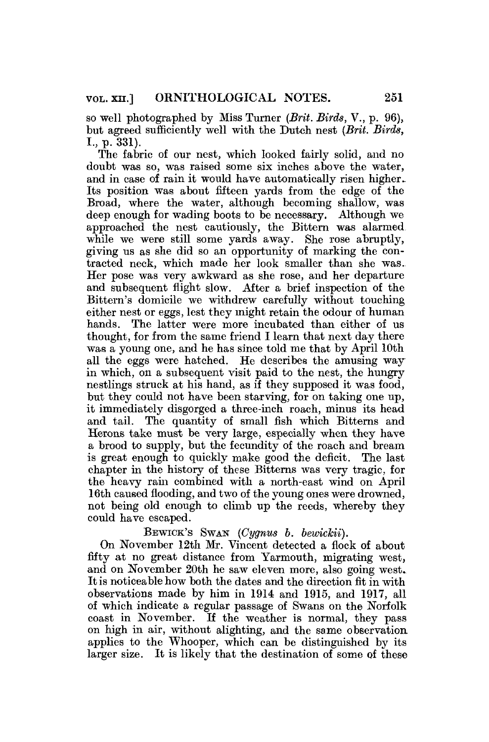so well photographed by Miss Turner *(Brit. Birds,* V., p. 96), but agreed sufficiently well with the Dutch nest *(Brit. Birds,*  I., p. 331).

The fabric of our nest, which looked fairly solid, and no doubt was so, was raised some six inches above the water, and in case of rain it would have automatically risen higher. Its position was about fifteen yards from the edge of the Broad, where the water, although becoming shallow, was deep enough for wading boots to be necessary. Although we approached the nest cautiously, the Bittern was alarmed while we were still some yards away. She rose abruptly, giving us as she did so an opportunity of marking the contracted neck, which made her look smaller than she was. Her pose was very awkward as she rose, and her departure and subsequent flight slow. After a brief inspection of the Bittern's domicile we withdrew carefully without touching either nest or eggs, lest they might retain the odour of human hands. The latter were more incubated than either of us thought, for from the same friend I learn that next day there was a young one, and he has since told me that by April 10th all the eggs were hatched. He describes the amusing way in which, on a, subsequent visit paid to the nest, the hungry nestlings struck at his hand, as if they supposed it was food, but they could not have been starving, for on taking one up, it immediately disgorged a three-inch roach, minus its head and tail. The quantity of small fish which Bitterns and Herons take must be very large, especially when they have a brood to supply, but the fecundity of the roach and bream is great enough to quickly make good the deficit. The last chapter in the history of these Bitterns was very tragic, for the heavy rain combined with a north-east wind on April 16th caused flooding, and two of the young ones were drowned, not being old enough to climb up the reeds, whereby they could have escaped.

# BEWICK'S SWAN *(Cygnus b. bewickii)*.

On November 12th Mr. Vincent detected a flock of about fifty at no great distance from Yarmouth, migrating west, and on November 20th he saw eleven more, also going west. It is noticeable how both the dates and the direction fit in with observations made by him in 1914 and 1915, and 1917, all of which indicate a regular passage of Swans on the Norfolk coast in November. If the weather is normal, they pass on high in air, without alighting, and the same observation applies to the Whooper, which can be distinguished by its larger size. It is likely that the destination of some of these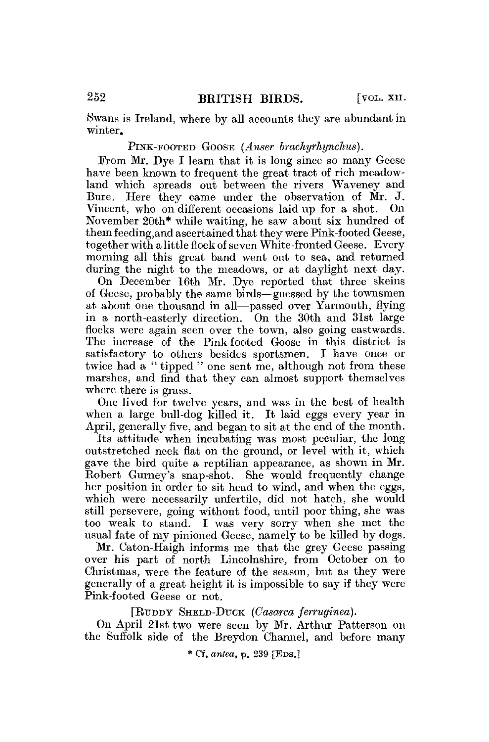Swans is Ireland, where by all accounts they are abundant in winter.

### PINK-FOOTED GOOSE *(Anser brachyrbynchm).*

From Mr. Dye I learn that it is long since so many Geese have been known to frequent the great tract of rich meadowland which spreads out between the rivers Waveney and Bure. Here they came under the observation of Mr. J. Vincent, who on different occasions laid up for a shot. On November 20th\* while waiting, he saw about six hundred of them feeding, and ascertained that they were Pink-footed Geese, together with a little flock of seven White-fronted Geese. Every morning all this great band went out to sea, and returned during the night to the meadows, or at daylight next day.

On December 16th Mr. Dye reported that three skeins of Geese, probably the same birds—guessed by the townsmen at about one thousand in all—passed over Yarmouth, flying in a north-easterly direction. On the 30th and 31st large flocks were again seen over the town, also going eastwards. The increase of the Pink-footed Goose in this district is satisfactory to others besides sportsmen. I have once or twice had a " tipped " one sent me, although not from these marshes, and find that they can almost support themselves where there is grass.

One lived for twelve years, and was in the best of health when a large bull-dog killed it. It laid eggs every year in April, generally five, and began to sit at the end of the month.

Its attitude when incubating was most peculiar, the long outstretched neck flat on the ground, or level with it, which gave the bird quite a reptilian appearance, as shown in Mr. Robert Gurney's snap-shot. She would frequently change her position in order to sit head to wind, and when the eggs, which were necessarily unfertile, did not hatch, she would still persevere, going without food, until poor thing, she was too weak to stand. I was very sorry when she met the usual fate of my pinioned Geese, namely to be killed by dogs.

Mr. Caton-Haigh informs me that the grey Geese passing over his part of north Lincolnshire, from October on to Christmas, were the feature of the season, but as they were generally of a great height it is impossible to say if they were Pink-footed Geese or not.

[RTJDDY SHELD-DUCK *(Casarca ferruginea).* 

On April 21st two were seen by Mr. Arthur Patterson on the Suffolk side of the Breydon Channel, and before many

\* Cf. *antea,* p. 239 [EDS.1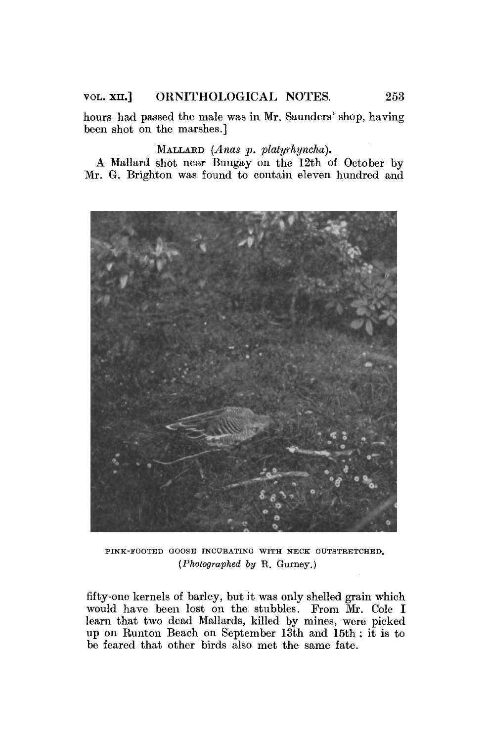# VOL. XII.] ORNITHOLOGICAL NOTES. 253

hours had passed the male was in Mr. Saunders' shop, having been shot on the marshes.]

# MALLARD *(Anas p. platyrhyncha).*

*A* Mallard shot near Bungay on the 12th of October by Mr. *G.* Brighton was found to contain eleven hundred and



PINK-FOOTED GOOSE INCUBATING WITH NECK OUTSTRETCHED. *{Photographed by* R. Gurney.)

fifty-one kernels of barley, but it was only shelled grain which would have been lost on the stubbles. From Mr. Cole I learn that two dead Mallards, killed by mines, were picked up on Runton Beach on September 13th and 15th : it is to be feared that other birds also met the same fate.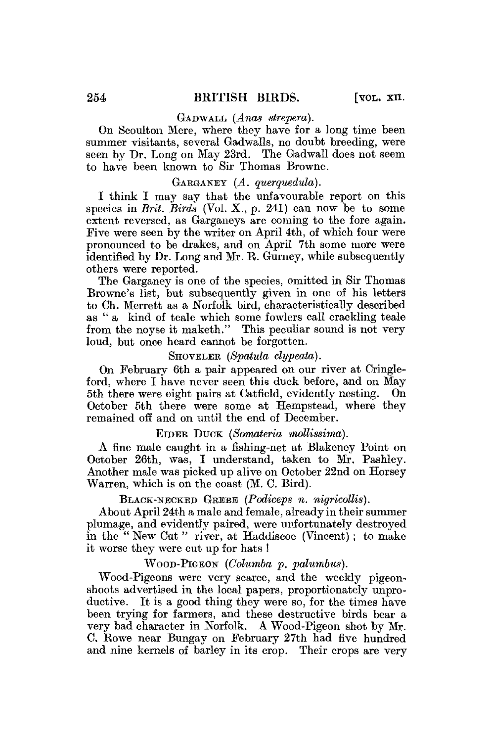#### GADWALL (Anas strepera).

On Scoulton Mere, where they have for a long time been summer visitants, several Gadwalls, no doubt breeding, were seen by Dr. Long on May 23rd. The Gadwall does not seem to have been known to Sir Thomas Browne.

### GARGANEY *(A. querquedula).*

I think I may say that the unfavourable report on this species in *Brit. Birds* (Vol. X., p. 241) can now be to some extent reversed, as Garganeys are coming to the fore again. Five were seen by the writer on April 4th, of which four were pronounced to be drakes, and on April 7th some more were identified by Dr. Long and Mr. E. Gurney, while subsequently others were reported.

The Garganey is one of the species, omitted in Sir Thomas Browne's list, but subsequently given in one of his letters to Ch. Merrett as a Norfolk bird, characteristically described as " a kind of teale which some fowlers call crackling teale from the noyse it maketh." This peculiar sound is not very loud, but once heard cannot be forgotten.

# SHOVELER (Spatula clypeata).

On February 6th a pair appeared on our river at Cringleford, where I have never seen this duck before, and on May<br>5th there were eight pairs at Catfield, evidently pesting. On 5th there were eight pairs at Catfield, evidently nesting. October 5th there were some at Hempstead, where they remained off and on until the end of December.

## EIDER DUCK *(Somateria mollissima).*

A fine male caught in a fishing-net at Blakeney Point on October 26th, was, I understand, taken to Mr. Pashley. Another male was picked up alive on October 22nd on Horsey Warren, which is on the coast (M. C. Bird).

# BLACK-NECKED GREBE *(Podiceps n. nigricollis).*

About April 24th a male and female, already in their summer plumage, and evidently paired, were unfortunately destroyed in the " New Cut " river, at Haddiscoe (Vincent) ; to make it worse they were cut up for hats !

WOOD-PIGEON *(Columba p. palumhus).* 

Wood-Pigeons were very scarce, and the weekly pigeonshoots advertised in the local papers, proportionately unproductive. It is a good thing they were so, for the times have been trying for farmers, and these destructive birds bear a very bad character in Norfolk. A Wood-Pigeon shot by Mr. C. Rowe near Bungay on February 27th had five hundred and nine kernels of barley in its crop. Their crops are very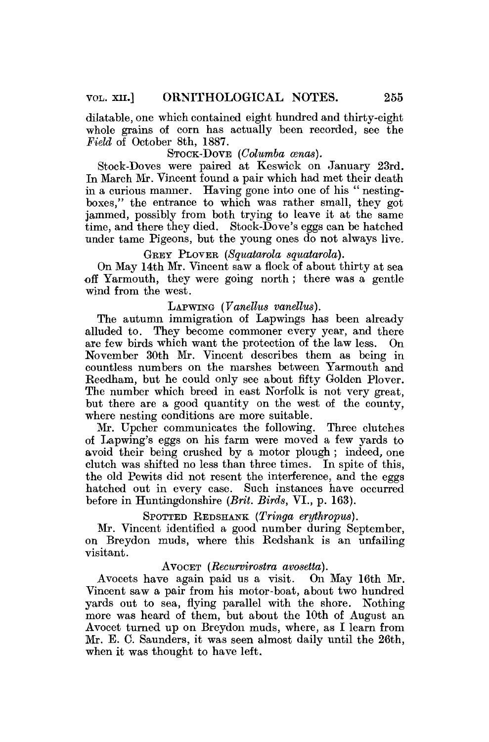dilatable, one which contained eight hundred and thirty-eight whole grains of corn has actually been recorded, see the *Field* of October 8th, 1887.

# STOCK-DOVE *(Columba cenas).*

Stock-Doves were paired at Keswick on January 23rd. In March Mr. Vincent found a pair which had met their death in a curious manner. Having gone into one of his " nestingboxes," the entrance to which was rather small, they got jammed, possibly from both trying to leave it at the same time, and there they died. Stock-Dove's eggs can be hatched under tame Pigeons, but the young ones do not always live.

GREY PLOVER (Squatarola squatarola).

On May 14th Mr. Vincent saw a flock of about thirty at sea off Yarmouth, they were going north ; there was a gentle wind from the west.

# LAPWING *(Vanellus vandlus).*

The autumn immigration of Lapwings has been already alluded to. They become commoner every year, and there are few birds which want the protection of the law less. On November 30th Mr. Vincent describes them as being in countless numbers on the marshes between Yarmouth and Reedham, but he could only see about fifty Golden Plover. The number which breed in east Norfolk is not very great, but there are a good quantity on the west of the county, where nesting conditions are more suitable.

Mr. Upcher communicates the following. Three clutches of Lapwing's eggs on his farm were moved a few yards to avoid their being crushed by a motor plough ; indeed, one clutch was shifted no less than three times. In spite of this, the old Pewits did not resent the interference, and the eggs hatched out in every case. Such instances have occurred before in Huntingdonshire *{Brit. Birds,* VI., p. 163).

SPOTTED REDSHANK *(Tringa eryihropus).* 

Mr. Vincent identified a good number during September, on Breydon muds, where this Redshank is an unfailing visitant.

AVOCET *(Recurvirostra avosetta).*  Avocets have again paid us a visit. Vincent saw a pair from his motor-boat, about two hundred yards out to sea, flying parallel with the shore. Nothing more was heard of them, but about the 10th of August an Avocet turned up on Breydon muds, where, as I learn from Mr. E. C. Saunders, it was seen almost daily until the 26th, when it was thought to have left.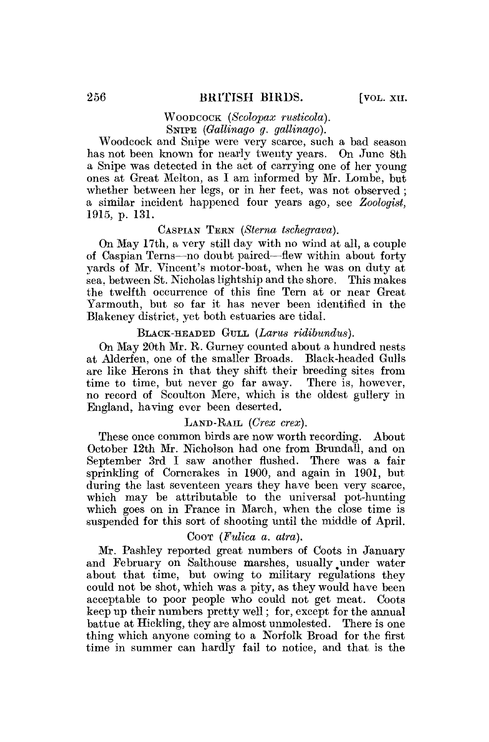# WOODCOCK *(Scolopax rusticola).*  SNIPE *(Gallinago g. gallinago)*.

Woodcock and Snipe were very scarce, such a bad season has not been known for nearly twenty years. On June 8th a Snipe was detected in the act of carrying one of her young ones at Great Melton, as I am informed by Mr. Lombe, but whether between her legs, or in her feet, was not observed ; a similar incident happened four years ago, see *Zoologist,*  1915, p. 131.

#### CASPIAN TERN *(Sterna tschegrava).*

On May 17th, a very still day with no wind at all, a couple of Caspian Terns—no doubt paired—flew within about forty yards of Mr. Vincent's motor-boat, when he was on duty at sea, between St. Nicholas lightship and the shore. This makes the twelfth occurrence of this fine Tern at or near Great Yarmouth, but so far it has never been identified in the Blakeney district, yet both estuaries are tidal.

#### BLACK-HEADED GULL *(Lams ridibwndns).*

On May 20th Mr. R. Gurney counted about a hundred nests at Alderfen, one of the smaller Broads. Black-headed Gulls are like Herons in that they shift their breeding sites from time to time, but never go far away. There is, however, no record of Scoulton Mere, which is the oldest gullery in England, having ever been deserted.

#### LAND-RAIL *(Crex crex).*

These once common birds are now worth recording. About October 12th Mr. Nicholson had one from Brundall, and on September 3rd I saw another flushed. There was a fair sprinkling of Corncrakes in 1900, and again in 1901, but during the last seventeen years they have been very scarce, which may be attributable to the universal pot-hunting which goes on in France in March, when the close time is suspended for this sort of shooting until the middle of April.

#### COOT *(Fulica a. atra).*

Mr. Pashley reported great numbers of Coots in January and February on Salthouse marshes, usually under water about that time, but owing to military regulations they could not be shot, which was a pity, as they would have been acceptable to poor people who could not get meat. Coots keep up their numbers pretty well; for, except for the annual battue at Hickling, they are almost unmolested. There is one thing which anyone coming to a Norfolk Broad for the first time in summer can hardly fail to notice, and that is the